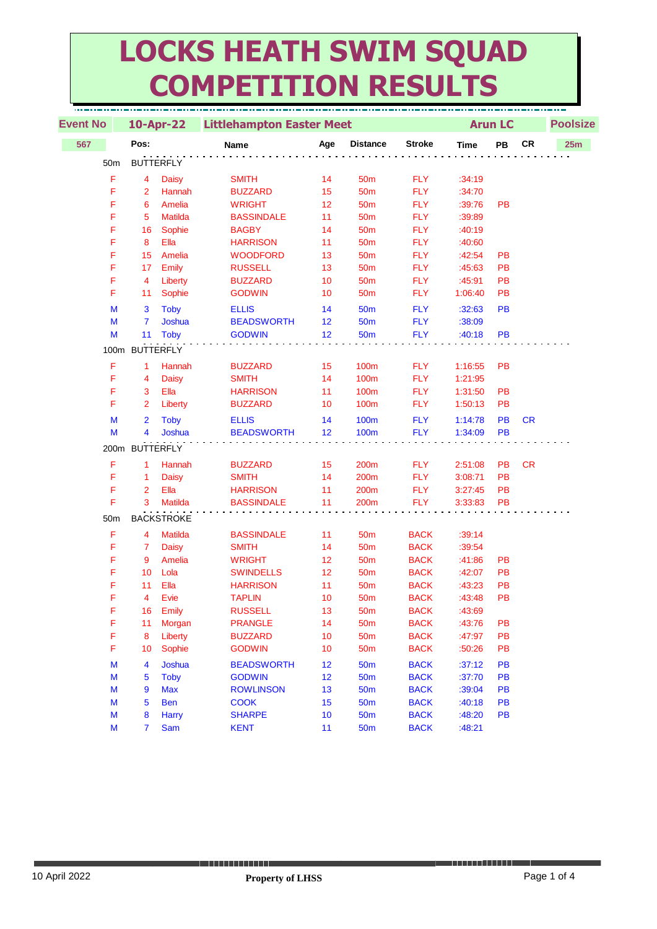## **LOCKS HEATH SWIM SQUAD COMPETITION RESULTS**

| <b>Event No</b>                                                                            |                     | $10$ -Apr-22      | <b>Littlehampton Easter Meet</b> |          |                                    |                            |                  | <b>Arun LC</b> | <b>Poolsize</b> |     |  |
|--------------------------------------------------------------------------------------------|---------------------|-------------------|----------------------------------|----------|------------------------------------|----------------------------|------------------|----------------|-----------------|-----|--|
| 567                                                                                        | Pos:                |                   | Name                             | Age      | <b>Distance</b>                    | <b>Stroke</b>              | <b>Time</b>      | PB             | CR              | 25m |  |
| 50 <sub>m</sub>                                                                            | <b>BUTTERFLY</b>    |                   |                                  |          |                                    |                            |                  |                |                 |     |  |
| F                                                                                          | 4                   | <b>Daisy</b>      | <b>SMITH</b>                     | 14       | 50 <sub>m</sub>                    | <b>FLY</b>                 | :34:19           |                |                 |     |  |
| F                                                                                          | $\overline{2}$      | Hannah            | <b>BUZZARD</b>                   | 15       | 50 <sub>m</sub>                    | <b>FLY</b>                 | :34:70           |                |                 |     |  |
| F                                                                                          | 6                   | Amelia            | <b>WRIGHT</b>                    | 12       | 50 <sub>m</sub>                    | <b>FLY</b>                 | :39:76           | PB             |                 |     |  |
| F                                                                                          | 5                   | <b>Matilda</b>    | <b>BASSINDALE</b>                | 11       | 50 <sub>m</sub>                    | <b>FLY</b>                 | :39:89           |                |                 |     |  |
| F                                                                                          | 16                  | Sophie            | <b>BAGBY</b>                     | 14       | 50 <sub>m</sub>                    | <b>FLY</b>                 | :40:19           |                |                 |     |  |
| F                                                                                          | 8                   | Ella              | <b>HARRISON</b>                  | 11       | 50 <sub>m</sub>                    | <b>FLY</b>                 | :40:60           |                |                 |     |  |
| F                                                                                          | 15                  | Amelia            | <b>WOODFORD</b>                  | 13       | 50 <sub>m</sub>                    | <b>FLY</b>                 | :42:54           | PB             |                 |     |  |
| F                                                                                          | 17                  | Emily             | <b>RUSSELL</b>                   | 13       | 50 <sub>m</sub>                    | <b>FLY</b>                 | :45:63           | PB             |                 |     |  |
| F                                                                                          | 4                   | Liberty           | <b>BUZZARD</b>                   | 10       | 50 <sub>m</sub>                    | <b>FLY</b>                 | :45:91           | PB             |                 |     |  |
| F                                                                                          | 11                  | Sophie            | <b>GODWIN</b>                    | 10       | 50 <sub>m</sub>                    | <b>FLY</b>                 | 1:06:40          | PB             |                 |     |  |
| M                                                                                          | 3                   | <b>Toby</b>       | <b>ELLIS</b>                     | 14       | <b>50m</b>                         | <b>FLY</b>                 | :32:63           | PB             |                 |     |  |
| M                                                                                          | $\overline{7}$      | <b>Joshua</b>     | <b>BEADSWORTH</b>                | 12       | <b>50m</b>                         | <b>FLY</b>                 | :38:09           |                |                 |     |  |
| M                                                                                          | 11                  | <b>Toby</b>       | <b>GODWIN</b>                    | 12       | 50 <sub>m</sub>                    | <b>FLY</b>                 | :40:18           | <b>PB</b>      |                 |     |  |
|                                                                                            | 100m BUTTERFLY      |                   |                                  |          |                                    |                            |                  |                |                 |     |  |
| F                                                                                          | 1                   | Hannah            | <b>BUZZARD</b>                   | 15       | 100m                               | <b>FLY</b>                 | 1:16:55          | <b>PB</b>      |                 |     |  |
| F                                                                                          | 4                   | <b>Daisy</b>      | <b>SMITH</b>                     | 14       | 100m                               | <b>FLY</b>                 | 1:21:95          |                |                 |     |  |
| F                                                                                          | 3                   | Ella              | <b>HARRISON</b>                  | 11       | 100m                               | <b>FLY</b>                 | 1:31:50          | PB             |                 |     |  |
| F                                                                                          | $\overline{2}$      | Liberty           | <b>BUZZARD</b>                   | 10       | 100m                               | <b>FLY</b>                 | 1:50:13          | PB             |                 |     |  |
| M                                                                                          | $\overline{2}$      | <b>Toby</b>       | <b>ELLIS</b>                     | 14       | <b>100m</b>                        | <b>FLY</b>                 | 1:14:78          | PB             | <b>CR</b>       |     |  |
| M                                                                                          | 4                   | Joshua            | <b>BEADSWORTH</b>                | 12       | 100m                               | <b>FLY</b>                 | 1:34:09          | PB             |                 |     |  |
|                                                                                            | 200m BUTTERFLY      |                   |                                  |          |                                    |                            |                  |                |                 |     |  |
| F                                                                                          | 1                   | Hannah            | <b>BUZZARD</b>                   | 15       | 200m                               | <b>FLY</b>                 | 2:51:08          | PB             | <b>CR</b>       |     |  |
| F                                                                                          | $\mathbf{1}$        | <b>Daisy</b>      | <b>SMITH</b>                     | 14       | 200m                               | <b>FLY</b>                 | 3:08:71          | PB             |                 |     |  |
| F                                                                                          | $\overline{2}$      | Ella              | <b>HARRISON</b>                  | 11       | 200 <sub>m</sub>                   | <b>FLY</b>                 | 3:27:45          | PB             |                 |     |  |
| F                                                                                          | 3                   | Matilda           | <b>BASSINDALE</b>                | 11       | 200m                               | <b>FLY</b>                 | 3:33:83          | PB             |                 |     |  |
|                                                                                            |                     |                   |                                  |          |                                    |                            |                  |                |                 |     |  |
| 50m                                                                                        |                     | <b>BACKSTROKE</b> |                                  |          |                                    |                            |                  |                |                 |     |  |
| F                                                                                          | 4                   | <b>Matilda</b>    | <b>BASSINDALE</b>                | 11       | 50 <sub>m</sub>                    | <b>BACK</b>                | :39:14           |                |                 |     |  |
| F                                                                                          | $\overline{7}$      | <b>Daisy</b>      | <b>SMITH</b>                     | 14       | 50 <sub>m</sub>                    | <b>BACK</b>                | :39:54           |                |                 |     |  |
| F                                                                                          | 9                   | Amelia            | <b>WRIGHT</b>                    | 12       | 50 <sub>m</sub>                    | <b>BACK</b>                | :41:86           | PB             |                 |     |  |
| F                                                                                          | 10                  | Lola              | <b>SWINDELLS</b>                 | 12       | 50 <sub>m</sub>                    | <b>BACK</b>                | :42:07           | PB             |                 |     |  |
| F<br>F                                                                                     | 11                  | Ella              | <b>HARRISON</b>                  | 11       | 50 <sub>m</sub>                    | <b>BACK</b>                | :43:23           | PB             |                 |     |  |
|                                                                                            | $\overline{4}$      | Evie              | <b>TAPLIN</b>                    | 10       | 50 <sub>m</sub>                    | <b>BACK</b>                | :43:48           | PB             |                 |     |  |
| F<br>F                                                                                     | 16<br>11            | Emily             | <b>RUSSELL</b><br><b>PRANGLE</b> | 13<br>14 | 50 <sub>m</sub><br>50 <sub>m</sub> | <b>BACK</b><br><b>BACK</b> | :43:69<br>:43:76 | PB             |                 |     |  |
| F                                                                                          | 8                   | Morgan            | <b>BUZZARD</b>                   | 10       |                                    |                            | :47:97           |                |                 |     |  |
| F                                                                                          | 10                  | Liberty<br>Sophie | <b>GODWIN</b>                    | 10       | 50 <sub>m</sub><br>50 <sub>m</sub> | <b>BACK</b><br><b>BACK</b> | :50:26           | PB<br>PB       |                 |     |  |
|                                                                                            |                     |                   |                                  |          |                                    |                            |                  |                |                 |     |  |
| M                                                                                          | 4                   | Joshua            | <b>BEADSWORTH</b>                | 12       | 50 <sub>m</sub>                    | <b>BACK</b>                | :37:12           | PB             |                 |     |  |
| M                                                                                          | 5                   | <b>Toby</b>       | <b>GODWIN</b>                    | 12       | 50 <sub>m</sub>                    | <b>BACK</b>                | :37:70           | PB             |                 |     |  |
| M                                                                                          | 9                   | <b>Max</b>        | <b>ROWLINSON</b>                 | 13       | <b>50m</b>                         | <b>BACK</b>                | :39:04           | PB             |                 |     |  |
| M                                                                                          | 5                   | <b>Ben</b>        | <b>COOK</b>                      | 15       | 50 <sub>m</sub>                    | <b>BACK</b>                | :40:18           | PB             |                 |     |  |
| M<br>$\mathsf{M}% _{T}=\mathsf{M}_{T}\!\left( a,b\right) ,\ \mathsf{M}_{T}=\mathsf{M}_{T}$ | 8<br>$\overline{7}$ | Harry             | <b>SHARPE</b><br><b>KENT</b>     | 10<br>11 | <b>50m</b>                         | <b>BACK</b><br><b>BACK</b> | :48:20           | PB             |                 |     |  |
|                                                                                            |                     | Sam               |                                  |          | <b>50m</b>                         |                            | :48:21           |                |                 |     |  |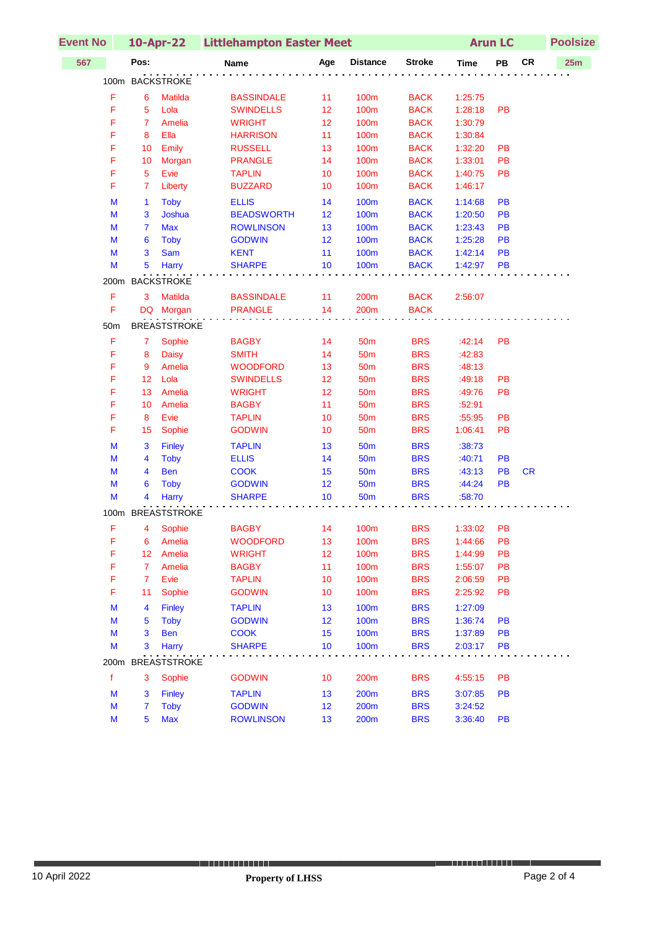| <b>Event No</b> |             |                 |                     | 10-Apr-22 Littlehampton Easter Meet |     |                 |               |             | <b>Arun LC</b> |           | <b>Poolsize</b> |  |
|-----------------|-------------|-----------------|---------------------|-------------------------------------|-----|-----------------|---------------|-------------|----------------|-----------|-----------------|--|
| 567             |             | Pos:            |                     | Name                                | Age | <b>Distance</b> | <b>Stroke</b> | <b>Time</b> | PB             | <b>CR</b> | 25m             |  |
|                 |             |                 | 100m BACKSTROKE     |                                     |     |                 |               |             |                |           |                 |  |
|                 | F           | $6\phantom{1}6$ | <b>Matilda</b>      | <b>BASSINDALE</b>                   | 11  | <b>100m</b>     | <b>BACK</b>   | 1:25:75     |                |           |                 |  |
|                 | F           | 5               | Lola                | <b>SWINDELLS</b>                    | 12  | 100m            | <b>BACK</b>   | 1:28:18     | <b>PB</b>      |           |                 |  |
|                 | F           | $\overline{7}$  | Amelia              | <b>WRIGHT</b>                       | 12  | 100m            | <b>BACK</b>   | 1:30:79     |                |           |                 |  |
|                 | F           | 8               | Ella                | <b>HARRISON</b>                     | 11  | 100m            | <b>BACK</b>   | 1:30:84     |                |           |                 |  |
|                 | F           | 10              | Emily               | <b>RUSSELL</b>                      | 13  | 100m            | <b>BACK</b>   | 1:32:20     | PB             |           |                 |  |
|                 | F           | 10              | Morgan              | <b>PRANGLE</b>                      | 14  | 100m            | <b>BACK</b>   | 1:33:01     | PB             |           |                 |  |
|                 | F           | 5               | Evie                | <b>TAPLIN</b>                       | 10  | 100m            | <b>BACK</b>   | 1:40:75     | PB             |           |                 |  |
|                 | F           | $\overline{7}$  | Liberty             | <b>BUZZARD</b>                      | 10  | 100m            | <b>BACK</b>   | 1:46:17     |                |           |                 |  |
|                 | M           | $\mathbf{1}$    | <b>Toby</b>         | <b>ELLIS</b>                        | 14  | <b>100m</b>     | <b>BACK</b>   | 1:14:68     | PB             |           |                 |  |
|                 | М           | 3               | Joshua              | <b>BEADSWORTH</b>                   | 12  | <b>100m</b>     | <b>BACK</b>   | 1:20:50     | PB             |           |                 |  |
|                 | M           | $\overline{7}$  | <b>Max</b>          | <b>ROWLINSON</b>                    | 13  | 100m            | <b>BACK</b>   | 1:23:43     | PB             |           |                 |  |
|                 | M           | 6               | <b>Toby</b>         | <b>GODWIN</b>                       | 12  | <b>100m</b>     | <b>BACK</b>   | 1:25:28     | PB             |           |                 |  |
|                 | M           | 3               | <b>Sam</b>          | <b>KENT</b>                         | 11  | <b>100m</b>     | <b>BACK</b>   | 1:42:14     | PB             |           |                 |  |
|                 | M           | 5               | Harry               | <b>SHARPE</b>                       | 10  | <b>100m</b>     | <b>BACK</b>   | 1:42:97     | PB             |           |                 |  |
|                 |             |                 | 200m BACKSTROKE     |                                     |     |                 |               |             |                |           |                 |  |
|                 | F           | 3               | <b>Matilda</b>      | <b>BASSINDALE</b>                   | 11  | 200m            | <b>BACK</b>   | 2:56:07     |                |           |                 |  |
|                 | F           |                 | DQ Morgan           | <b>PRANGLE</b>                      | 14  | 200m            | <b>BACK</b>   |             |                |           |                 |  |
|                 |             |                 |                     |                                     |     |                 |               |             |                |           |                 |  |
|                 | 50m         |                 | <b>BREASTSTROKE</b> |                                     |     |                 |               |             |                |           |                 |  |
|                 | F           | $\mathbf{7}$    | Sophie              | <b>BAGBY</b>                        | 14  | 50 <sub>m</sub> | <b>BRS</b>    | :42:14      | PB             |           |                 |  |
|                 | F           | 8               | <b>Daisy</b>        | <b>SMITH</b>                        | 14  | 50 <sub>m</sub> | <b>BRS</b>    | :42:83      |                |           |                 |  |
|                 | F           | 9               | Amelia              | <b>WOODFORD</b>                     | 13  | 50 <sub>m</sub> | <b>BRS</b>    | :48:13      |                |           |                 |  |
|                 | F           | 12              | Lola                | <b>SWINDELLS</b>                    | 12  | 50 <sub>m</sub> | <b>BRS</b>    | :49:18      | PB             |           |                 |  |
|                 | F           | 13              | Amelia              | <b>WRIGHT</b>                       | 12  | 50 <sub>m</sub> | <b>BRS</b>    | :49:76      | PB             |           |                 |  |
|                 | F           | 10              | Amelia              | <b>BAGBY</b>                        | 11  | 50 <sub>m</sub> | <b>BRS</b>    | :52:91      |                |           |                 |  |
|                 | F           | 8               | Evie                | <b>TAPLIN</b>                       | 10  | 50 <sub>m</sub> | <b>BRS</b>    | :55:95      | PB             |           |                 |  |
|                 | F           | 15              | Sophie              | <b>GODWIN</b>                       | 10  | 50 <sub>m</sub> | <b>BRS</b>    | 1:06:41     | PB             |           |                 |  |
|                 | M           | 3               | <b>Finley</b>       | <b>TAPLIN</b>                       | 13  | <b>50m</b>      | <b>BRS</b>    | :38:73      |                |           |                 |  |
|                 | М           | 4               | <b>Toby</b>         | <b>ELLIS</b>                        | 14  | <b>50m</b>      | <b>BRS</b>    | :40:71      | <b>PB</b>      |           |                 |  |
|                 | M           | 4               | <b>Ben</b>          | <b>COOK</b>                         | 15  | <b>50m</b>      | <b>BRS</b>    | :43:13      | PB             | <b>CR</b> |                 |  |
|                 | M           | 6               | <b>Toby</b>         | <b>GODWIN</b>                       | 12  | <b>50m</b>      | <b>BRS</b>    | :44:24      | <b>PB</b>      |           |                 |  |
|                 | M           | 4               | Harry               | <b>SHARPE</b>                       | 10  | <b>50m</b>      | <b>BRS</b>    | :58:70      |                |           |                 |  |
|                 |             |                 | 100m BREASTSTROKE   |                                     |     |                 |               |             |                |           |                 |  |
|                 | F.          |                 | 4 Sophie            | <b>BAGBY</b>                        | 14  | 100m            | <b>BRS</b>    | 1:33:02     | PB             |           |                 |  |
|                 | F           | 6               | Amelia              | <b>WOODFORD</b>                     | 13  | 100m            | <b>BRS</b>    | 1:44:66     | PB             |           |                 |  |
|                 | F           | 12              | Amelia              | <b>WRIGHT</b>                       | 12  | 100m            | <b>BRS</b>    | 1:44:99     | PB             |           |                 |  |
|                 | F           | $\overline{7}$  | Amelia              | <b>BAGBY</b>                        | 11  | 100m            | <b>BRS</b>    | 1:55:07     | PB             |           |                 |  |
|                 | F           | $\overline{7}$  | Evie                | <b>TAPLIN</b>                       | 10  | 100m            | <b>BRS</b>    | 2:06:59     | PB             |           |                 |  |
|                 | F           | 11              | Sophie              | <b>GODWIN</b>                       | 10  | 100m            | <b>BRS</b>    | 2:25:92     | PB             |           |                 |  |
|                 | М           | 4               | <b>Finley</b>       | <b>TAPLIN</b>                       | 13  | <b>100m</b>     | <b>BRS</b>    | 1:27:09     |                |           |                 |  |
|                 | M           | 5               | <b>Toby</b>         | <b>GODWIN</b>                       | 12  | <b>100m</b>     | <b>BRS</b>    | 1:36:74     | PB             |           |                 |  |
|                 | M           | 3               | <b>Ben</b>          | <b>COOK</b>                         | 15  | 100m            | <b>BRS</b>    | 1:37:89     | PB             |           |                 |  |
|                 | М           | 3               | Harry               | <b>SHARPE</b>                       | 10  | 100m            | <b>BRS</b>    | 2:03:17     | <b>PB</b>      |           |                 |  |
|                 |             |                 | 200m BREASTSTROKE   |                                     |     |                 |               |             |                |           |                 |  |
|                 | $\mathbf f$ | 3               | Sophie              | <b>GODWIN</b>                       | 10  | 200m            | <b>BRS</b>    | 4:55:15     | PB             |           |                 |  |
|                 | М           | 3               | <b>Finley</b>       | <b>TAPLIN</b>                       | 13  | 200m            | <b>BRS</b>    | 3:07:85     | <b>PB</b>      |           |                 |  |
|                 | M           | $\overline{7}$  | <b>Toby</b>         | <b>GODWIN</b>                       | 12  | 200m            | <b>BRS</b>    | 3:24:52     |                |           |                 |  |
|                 | M           | 5               | <b>Max</b>          | <b>ROWLINSON</b>                    | 13  | 200m            | <b>BRS</b>    | 3:36:40     | PB             |           |                 |  |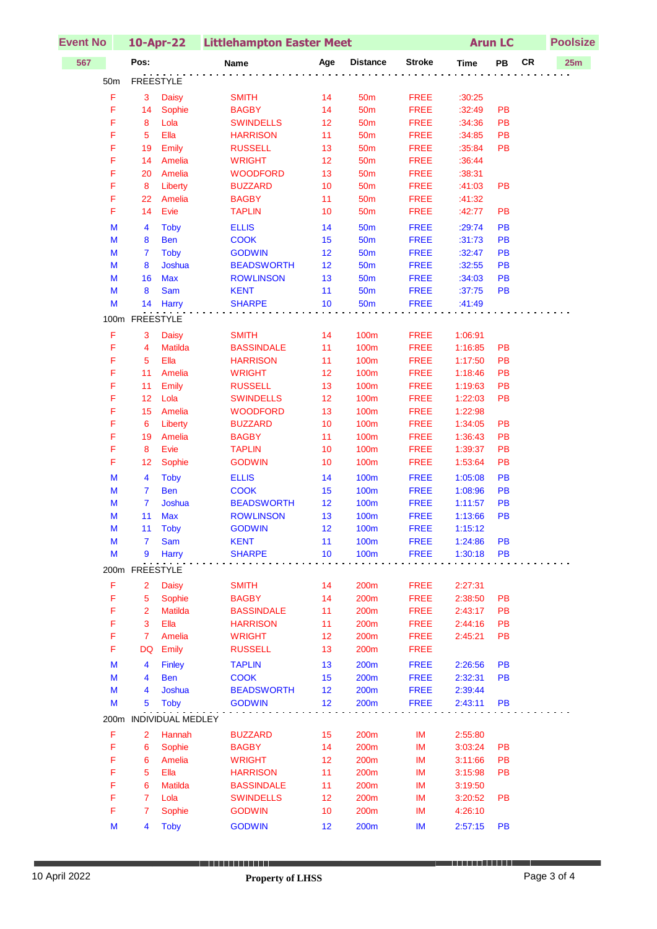| <b>Event No</b> |                |                      | 10-Apr-22 Littlehampton Easter Meet   | <b>Arun LC</b> |                          |                            | <b>Poolsize</b>    |           |           |     |
|-----------------|----------------|----------------------|---------------------------------------|----------------|--------------------------|----------------------------|--------------------|-----------|-----------|-----|
| 567             | Pos:           |                      | Name                                  | Age            | <b>Distance</b>          | <b>Stroke</b>              | <b>Time</b>        | PB        | <b>CR</b> | 25m |
| 50m             | FREESTYLE      |                      |                                       |                |                          |                            |                    |           |           |     |
| F               | 3              | <b>Daisy</b>         | <b>SMITH</b>                          | 14             | 50 <sub>m</sub>          | <b>FREE</b>                | :30:25             |           |           |     |
| F               | 14             | Sophie               | <b>BAGBY</b>                          | 14             | 50 <sub>m</sub>          | <b>FREE</b>                | :32:49             | PB        |           |     |
| F               | 8              | Lola                 | <b>SWINDELLS</b>                      | 12             | <b>50m</b>               | <b>FREE</b>                | :34:36             | PB        |           |     |
| F               | 5              | Ella                 | <b>HARRISON</b>                       | 11             | 50 <sub>m</sub>          | <b>FREE</b>                | :34:85             | PB        |           |     |
| F               | 19             | Emily                | <b>RUSSELL</b>                        | 13             | 50 <sub>m</sub>          | <b>FREE</b>                | :35:84             | <b>PB</b> |           |     |
| F               | 14             | Amelia               | <b>WRIGHT</b>                         | 12             | 50 <sub>m</sub>          | <b>FREE</b>                | :36:44             |           |           |     |
| F               | 20             | Amelia               | <b>WOODFORD</b>                       | 13             | 50 <sub>m</sub>          | <b>FREE</b>                | :38:31             |           |           |     |
| F               | 8              | Liberty              | <b>BUZZARD</b>                        | 10             | 50 <sub>m</sub>          | <b>FREE</b>                | :41:03             | PB        |           |     |
| F               | 22             | Amelia               | <b>BAGBY</b>                          | 11             | 50 <sub>m</sub>          | <b>FREE</b>                | :41:32             |           |           |     |
| F               | 14             | Evie                 | <b>TAPLIN</b>                         | 10             | 50 <sub>m</sub>          | <b>FREE</b>                | :42:77             | <b>PB</b> |           |     |
| M               | 4              | <b>Toby</b>          | <b>ELLIS</b>                          | 14             | <b>50m</b>               | <b>FREE</b>                | :29:74             | PB        |           |     |
| M               | 8              | <b>Ben</b>           | <b>COOK</b>                           | 15             | <b>50m</b>               | <b>FREE</b>                | :31:73             | PB        |           |     |
| M               | $\overline{7}$ | <b>Toby</b>          | <b>GODWIN</b>                         | 12             | 50 <sub>m</sub>          | <b>FREE</b>                | :32:47             | PB        |           |     |
| M<br>M          | 8<br>16        | Joshua<br><b>Max</b> | <b>BEADSWORTH</b><br><b>ROWLINSON</b> | 12<br>13       | <b>50m</b><br><b>50m</b> | <b>FREE</b><br><b>FREE</b> | :32:55<br>:34:03   | PB<br>PB  |           |     |
| M               | 8              | Sam                  | <b>KENT</b>                           | 11             | <b>50m</b>               | <b>FREE</b>                | :37:75             | PB        |           |     |
| M               | 14             | Harry                | <b>SHARPE</b>                         | 10             | <b>50m</b>               | <b>FREE</b>                | :41:49             |           |           |     |
|                 |                |                      |                                       |                |                          |                            |                    |           |           |     |
|                 | 100m FREESTYLE |                      |                                       |                |                          |                            |                    |           |           |     |
| F               | 3              | Daisy                | <b>SMITH</b>                          | 14             | 100m                     | <b>FREE</b>                | 1:06:91            |           |           |     |
| F               | 4              | <b>Matilda</b>       | <b>BASSINDALE</b>                     | 11             | <b>100m</b>              | <b>FREE</b>                | 1:16:85            | PB        |           |     |
| F<br>F          | 5              | Ella                 | <b>HARRISON</b>                       | 11             | 100m                     | <b>FREE</b>                | 1:17:50            | PB        |           |     |
| F               | 11<br>11       | Amelia<br>Emily      | <b>WRIGHT</b><br><b>RUSSELL</b>       | 12<br>13       | 100m<br>100m             | <b>FREE</b><br><b>FREE</b> | 1:18:46<br>1:19:63 | PB<br>PB  |           |     |
| F               | 12             | Lola                 | <b>SWINDELLS</b>                      | 12             | 100m                     | <b>FREE</b>                | 1:22:03            | PB        |           |     |
| F               | 15             | Amelia               | <b>WOODFORD</b>                       | 13             | <b>100m</b>              | <b>FREE</b>                | 1:22:98            |           |           |     |
| F               | 6              | Liberty              | <b>BUZZARD</b>                        | 10             | <b>100m</b>              | <b>FREE</b>                | 1:34:05            | PB        |           |     |
| F               | 19             | Amelia               | <b>BAGBY</b>                          | 11             | 100m                     | <b>FREE</b>                | 1:36:43            | PB        |           |     |
| F               | 8              | Evie                 | <b>TAPLIN</b>                         | 10             | 100m                     | <b>FREE</b>                | 1:39:37            | PB        |           |     |
| F               | 12             | Sophie               | <b>GODWIN</b>                         | 10             | 100m                     | <b>FREE</b>                | 1:53:64            | PB        |           |     |
| M               | 4              | <b>Toby</b>          | <b>ELLIS</b>                          | 14             | 100m                     | <b>FREE</b>                | 1:05:08            | PB        |           |     |
| M               | $\overline{7}$ | <b>Ben</b>           | <b>COOK</b>                           | 15             | <b>100m</b>              | <b>FREE</b>                | 1:08:96            | PB        |           |     |
| M               | $\overline{7}$ | Joshua               | <b>BEADSWORTH</b>                     | 12             | <b>100m</b>              | <b>FREE</b>                | 1:11:57            | PB        |           |     |
| M               | 11             | <b>Max</b>           | <b>ROWLINSON</b>                      | 13             | 100m                     | <b>FREE</b>                | 1:13:66            | <b>PB</b> |           |     |
| M               | $11 -$         | Toby                 | <b>GODWIN</b>                         | 12             | <b>100m</b>              | <b>FREE</b>                | 1:15:12            |           |           |     |
| M               | 7              | Sam                  | <b>KENT</b>                           | 11             | 100m                     | <b>FREE</b>                | 1:24:86            | <b>PB</b> |           |     |
| M               | 9              | Harry                | <b>SHARPE</b>                         | 10             | 100m                     | <b>FREE</b>                | 1:30:18            | <b>PB</b> |           |     |
|                 | 200m FREESTYLE |                      |                                       |                |                          |                            |                    |           |           |     |
| F               | $\overline{2}$ | <b>Daisy</b>         | <b>SMITH</b>                          | 14             | 200m                     | <b>FREE</b>                | 2:27:31            |           |           |     |
| F               | $\overline{5}$ | Sophie               | <b>BAGBY</b>                          | 14             | 200m                     | <b>FREE</b>                | 2:38:50            | PB        |           |     |
| F               | $\overline{2}$ | Matilda              | <b>BASSINDALE</b>                     | 11             | 200m                     | <b>FREE</b>                | 2:43:17            | PB        |           |     |
| F               | $\mathbf 3$    | Ella                 | <b>HARRISON</b>                       | 11             | 200m                     | <b>FREE</b>                | 2:44:16            | PB        |           |     |
| F               | $\overline{7}$ | Amelia               | <b>WRIGHT</b>                         | 12             | 200m                     | <b>FREE</b>                | 2:45:21            | PB        |           |     |
| F               | DQ             | Emily                | <b>RUSSELL</b>                        | 13             | 200m                     | <b>FREE</b>                |                    |           |           |     |
| M               | 4              | <b>Finley</b>        | <b>TAPLIN</b>                         | 13             | 200m                     | <b>FREE</b>                | 2:26:56            | <b>PB</b> |           |     |
| M               | 4              | <b>Ben</b>           | <b>COOK</b>                           | 15             | 200m                     | <b>FREE</b>                | 2:32:31            | <b>PB</b> |           |     |
| M               | 4              | Joshua               | <b>BEADSWORTH</b>                     | 12             | 200m                     | <b>FREE</b>                | 2:39:44            |           |           |     |
| M               | 5              | <b>Toby</b>          | <b>GODWIN</b>                         | 12             | 200m                     | <b>FREE</b>                | 2:43:11            | <b>PB</b> |           |     |
| 200m            |                | INDIVIDUAL MEDLEY    |                                       |                |                          |                            |                    |           |           |     |
| F               | 2              | Hannah               | <b>BUZZARD</b>                        | 15             | 200m                     | IM                         | 2:55:80            |           |           |     |
| F               | 6              | Sophie               | <b>BAGBY</b>                          | 14             | 200m                     | IM                         | 3:03:24            | PB        |           |     |
| F               | 6              | Amelia               | <b>WRIGHT</b>                         | 12             | 200m                     | IM                         | 3:11:66            | PB        |           |     |
| F               | 5              | Ella                 | <b>HARRISON</b>                       | 11             | 200m                     | IM                         | 3:15:98            | PB        |           |     |
| F               | 6              | <b>Matilda</b>       | <b>BASSINDALE</b>                     | 11             | 200m                     | IM                         | 3:19:50            |           |           |     |
| F               | $\overline{7}$ | Lola                 | <b>SWINDELLS</b>                      | 12             | 200m                     | IM                         | 3:20:52            | <b>PB</b> |           |     |
| F               | $\overline{7}$ | Sophie               | <b>GODWIN</b>                         | 10             | 200m                     | IM                         | 4:26:10            |           |           |     |
| M               | 4              | <b>Toby</b>          | <b>GODWIN</b>                         | 12             | 200m                     | IM                         | 2:57:15            | <b>PB</b> |           |     |